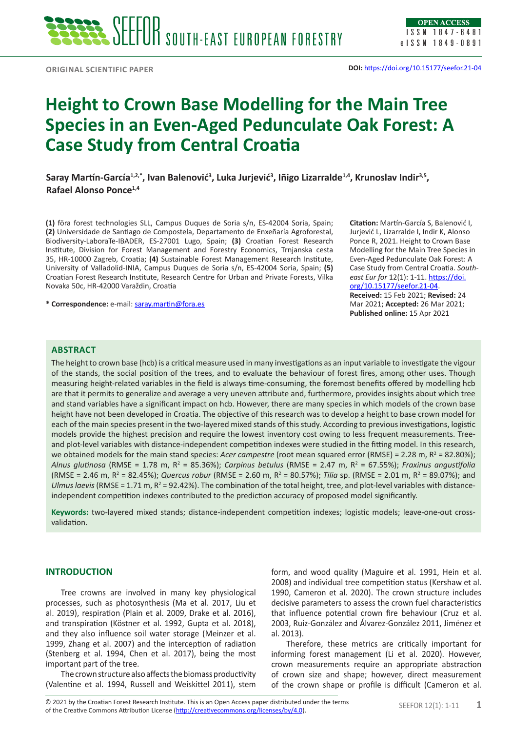# **Height to Crown Base Modelling for the Main Tree Species in an Even-Aged Pedunculate Oak Forest: A Case Study from Central Croatia**

**Saray Martín-García1,2,\*, Ivan Balenović<sup>3</sup> , Luka Jurjević<sup>3</sup> , Iñigo Lizarralde1,4, Krunoslav Indir3,5, Rafael Alonso Ponce1,4**

**(1)** föra forest technologies SLL, Campus Duques de Soria s/n, ES-42004 Soria, Spain; **(2)** Universidade de Santiago de Compostela, Departamento de Enxeñaría Agroforestal, Biodiversity-LaboraTe-IBADER, ES-27001 Lugo, Spain; **(3)** Croatian Forest Research Institute, Division for Forest Management and Forestry Economics, Trnjanska cesta 35, HR-10000 Zagreb, Croatia; **(4)** Sustainable Forest Management Research Institute, University of Valladolid-INIA, Campus Duques de Soria s/n, ES-42004 Soria, Spain; **(5)** Croatian Forest Research Institute, Research Centre for Urban and Private Forests, Vilka Novaka 50c, HR-42000 Varaždin, Croatia

**\* Correspondence:** e-mail: [saray.martin@fora.es](mailto:saray.martin@fora.es)

**Citation:** Martín-García S, Balenović I, Jurjević L, Lizarralde I, Indir K, Alonso Ponce R, 2021. Height to Crown Base Modelling for the Main Tree Species in Even-Aged Pedunculate Oak Forest: A Case Study from Central Croatia. *Southeast Eur for* 12(1): 1-11. [https://doi.](https://doi.org/10.15177/seefor.21-04) [org/10.15177/seefor.21-04](https://doi.org/10.15177/seefor.21-04). **Received:** 15 Feb 2021; **Revised:** 24 Mar 2021; **Accepted:** 26 Mar 2021; **Published online:** 15 Apr 2021

# **ABSTRACT**

The height to crown base (hcb) is a critical measure used in many investigations as an input variable to investigate the vigour of the stands, the social position of the trees, and to evaluate the behaviour of forest fires, among other uses. Though measuring height-related variables in the field is always time-consuming, the foremost benefits offered by modelling hcb are that it permits to generalize and average a very uneven attribute and, furthermore, provides insights about which tree and stand variables have a significant impact on hcb. However, there are many species in which models of the crown base height have not been developed in Croatia. The objective of this research was to develop a height to base crown model for each of the main species present in the two-layered mixed stands of this study. According to previous investigations, logistic models provide the highest precision and require the lowest inventory cost owing to less frequent measurements. Treeand plot-level variables with distance-independent competition indexes were studied in the fitting model. In this research, we obtained models for the main stand species: *Acer campestre* (root mean squared error (RMSE) = 2.28 m, R<sup>2</sup> = 82.80%); *Alnus glutinosa* (RMSE = 1.78 m, R<sup>2</sup> = 85.36%); *Carpinus betulus* (RMSE = 2.47 m, R<sup>2</sup> = 67.55%); *Fraxinus angustifolia*  $(RMSE = 2.46$  m,  $R^2 = 82.45%)$ ; *Quercus robur* (RMSE = 2.60 m,  $R^2 = 80.57%)$ ; *Tilia* sp. (RMSE = 2.01 m,  $R^2 = 89.07%$ ); and Ulmus laevis (RMSE = 1.71 m,  $R^2$  = 92.42%). The combination of the total height, tree, and plot-level variables with distanceindependent competition indexes contributed to the prediction accuracy of proposed model significantly.

**Keywords:** two-layered mixed stands; distance-independent competition indexes; logistic models; leave-one-out crossvalidation.

#### **INTRODUCTION**

Tree crowns are involved in many key physiological processes, such as photosynthesis (Ma et al. 2017, Liu et al. 2019), respiration (Plain et al. 2009, Drake et al. 2016), and transpiration (Köstner et al. 1992, Gupta et al. 2018), and they also influence soil water storage (Meinzer et al. 1999, Zhang et al. 2007) and the interception of radiation (Stenberg et al. 1994, Chen et al. 2017), being the most important part of the tree.

The crown structure also affects the biomass productivity (Valentine et al. 1994, Russell and Weiskittel 2011), stem form, and wood quality (Maguire et al. 1991, Hein et al. 2008) and individual tree competition status (Kershaw et al. 1990, Cameron et al. 2020). The crown structure includes decisive parameters to assess the crown fuel characteristics that influence potential crown fire behaviour (Cruz et al. 2003, Ruiz-González and Álvarez-González 2011, Jiménez et al. 2013).

Therefore, these metrics are critically important for informing forest management (Li et al. 2020). However, crown measurements require an appropriate abstraction of crown size and shape; however, direct measurement of the crown shape or profile is difficult (Cameron et al.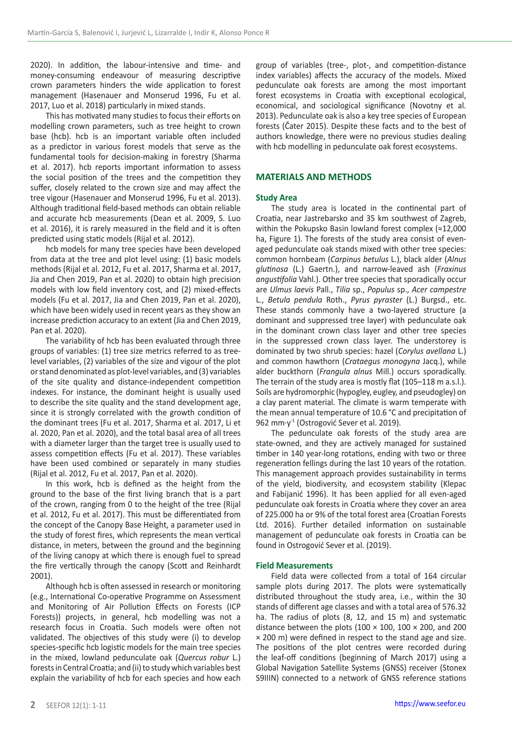2020). In addition, the labour-intensive and time- and money-consuming endeavour of measuring descriptive crown parameters hinders the wide application to forest management (Hasenauer and Monserud 1996, Fu et al. 2017, Luo et al. 2018) particularly in mixed stands.

This has motivated many studies to focus their efforts on modelling crown parameters, such as tree height to crown base (hcb). hcb is an important variable often included as a predictor in various forest models that serve as the fundamental tools for decision-making in forestry (Sharma et al. 2017). hcb reports important information to assess the social position of the trees and the competition they suffer, closely related to the crown size and may affect the tree vigour (Hasenauer and Monserud 1996, Fu et al. 2013). Although traditional field-based methods can obtain reliable and accurate hcb measurements (Dean et al. 2009, S. Luo et al. 2016), it is rarely measured in the field and it is often predicted using static models (Rijal et al. 2012).

hcb models for many tree species have been developed from data at the tree and plot level using: (1) basic models methods (Rijal et al. 2012, Fu et al. 2017, Sharma et al. 2017, Jia and Chen 2019, Pan et al. 2020) to obtain high precision models with low field inventory cost, and (2) mixed-effects models (Fu et al. 2017, Jia and Chen 2019, Pan et al. 2020), which have been widely used in recent years as they show an increase prediction accuracy to an extent (Jia and Chen 2019, Pan et al. 2020).

The variability of hcb has been evaluated through three groups of variables: (1) tree size metrics referred to as treelevel variables, (2) variables of the size and vigour of the plot or stand denominated as plot-level variables, and (3) variables of the site quality and distance-independent competition indexes. For instance, the dominant height is usually used to describe the site quality and the stand development age, since it is strongly correlated with the growth condition of the dominant trees (Fu et al. 2017, Sharma et al. 2017, Li et al. 2020, Pan et al. 2020), and the total basal area of all trees with a diameter larger than the target tree is usually used to assess competition effects (Fu et al. 2017). These variables have been used combined or separately in many studies (Rijal et al. 2012, Fu et al. 2017, Pan et al. 2020).

In this work, hcb is defined as the height from the ground to the base of the first living branch that is a part of the crown, ranging from 0 to the height of the tree (Rijal et al. 2012, Fu et al. 2017). This must be differentiated from the concept of the Canopy Base Height, a parameter used in the study of forest fires, which represents the mean vertical distance, in meters, between the ground and the beginning of the living canopy at which there is enough fuel to spread the fire vertically through the canopy (Scott and Reinhardt 2001).

Although hcb is often assessed in research or monitoring (e.g., International Co-operative Programme on Assessment and Monitoring of Air Pollution Effects on Forests (ICP Forests)) projects, in general, hcb modelling was not a research focus in Croatia. Such models were often not validated. The objectives of this study were (i) to develop species-specific hcb logistic models for the main tree species in the mixed, lowland pedunculate oak (*Quercus robur* L.) forests in Central Croatia; and (ii) to study which variables best explain the variability of hcb for each species and how each

group of variables (tree-, plot-, and competition-distance index variables) affects the accuracy of the models. Mixed pedunculate oak forests are among the most important forest ecosystems in Croatia with exceptional ecological, economical, and sociological significance (Novotny et al. 2013). Pedunculate oak is also a key tree species of European forests (Čater 2015). Despite these facts and to the best of authors knowledge, there were no previous studies dealing with hcb modelling in pedunculate oak forest ecosystems.

## **MATERIALS AND METHODS**

#### **Study Area**

The study area is located in the continental part of Croatia, near Jastrebarsko and 35 km southwest of Zagreb, within the Pokupsko Basin lowland forest complex (≈12,000 ha, Figure 1). The forests of the study area consist of evenaged pedunculate oak stands mixed with other tree species: common hornbeam (*Carpinus betulus* L.), black alder (*Alnus glutinosa* (L.) Gaertn.), and narrow-leaved ash (*Fraxinus angustifolia* Vahl.). Other tree species that sporadically occur are *Ulmus laevis* Pall., *Tilia* sp., *Populus* sp., *Acer campestre* L., *Betula pendula* Roth., *Pyrus pyraster* (L.) Burgsd., etc. These stands commonly have a two-layered structure (a dominant and suppressed tree layer) with pedunculate oak in the dominant crown class layer and other tree species in the suppressed crown class layer. The understorey is dominated by two shrub species: hazel (*Corylus avellana* L.) and common hawthorn (*Crataegus monogyna* Jacq.), while alder buckthorn (*Frangula alnus* Mill.) occurs sporadically. The terrain of the study area is mostly flat (105–118 m a.s.l.). Soils are hydromorphic (hypogley, eugley, and pseudogley) on a clay parent material. The climate is warm temperate with the mean annual temperature of 10.6 °C and precipitation of 962 mm⋅y<sup>-1</sup> (Ostrogović Sever et al. 2019).

The pedunculate oak forests of the study area are state-owned, and they are actively managed for sustained timber in 140 year-long rotations, ending with two or three regeneration fellings during the last 10 years of the rotation. This management approach provides sustainability in terms of the yield, biodiversity, and ecosystem stability (Klepac and Fabijanić 1996). It has been applied for all even-aged pedunculate oak forests in Croatia where they cover an area of 225.000 ha or 9% of the total forest area (Croatian Forests Ltd. 2016). Further detailed information on sustainable management of pedunculate oak forests in Croatia can be found in Ostrogović Sever et al. (2019).

#### **Field Measurements**

Field data were collected from a total of 164 circular sample plots during 2017. The plots were systematically distributed throughout the study area, i.e., within the 30 stands of different age classes and with a total area of 576.32 ha. The radius of plots (8, 12, and 15 m) and systematic distance between the plots (100  $\times$  100, 100  $\times$  200, and 200 × 200 m) were defined in respect to the stand age and size. The positions of the plot centres were recorded during the leaf-off conditions (beginning of March 2017) using a Global Navigation Satellite Systems (GNSS) receiver (Stonex S9IIIN) connected to a network of GNSS reference stations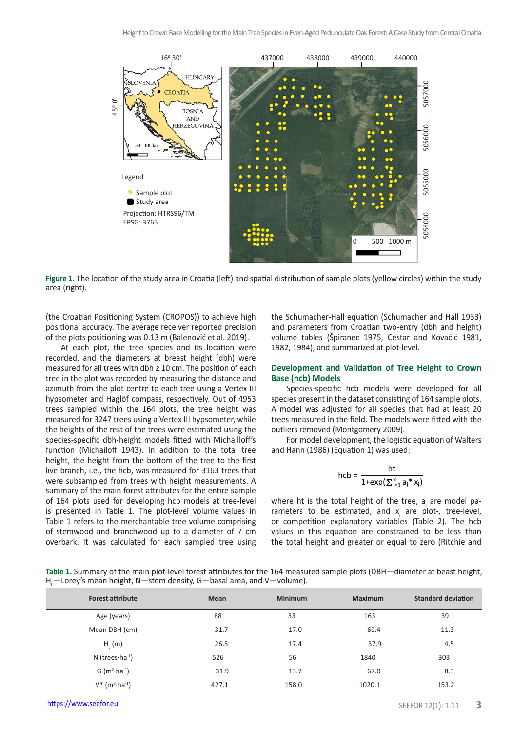

**Figure 1.** The location of the study area in Croatia (left) and spatial distribution of sample plots (yellow circles) within the study area (right).

(the Croatian Positioning System (CROPOS)) to achieve high positional accuracy. The average receiver reported precision of the plots positioning was 0.13 m (Balenović et al. 2019).

At each plot, the tree species and its location were recorded, and the diameters at breast height (dbh) were measured for all trees with dbh ≥ 10 cm. The position of each tree in the plot was recorded by measuring the distance and azimuth from the plot centre to each tree using a Vertex III hypsometer and Haglöf compass, respectively. Out of 4953 trees sampled within the 164 plots, the tree height was measured for 3247 trees using a Vertex III hypsometer, while the heights of the rest of the trees were estimated using the species-specific dbh-height models fitted with Michailloff's function (Michailoff 1943). In addition to the total tree height, the height from the bottom of the tree to the first live branch, i.e., the hcb, was measured for 3163 trees that were subsampled from trees with height measurements. A summary of the main forest attributes for the entire sample of 164 plots used for developing hcb models at tree-level is presented in Table 1. The plot-level volume values in Table 1 refers to the merchantable tree volume comprising of stemwood and branchwood up to a diameter of 7 cm overbark. It was calculated for each sampled tree using

the Schumacher-Hall equation (Schumacher and Hall 1933) and parameters from Croatian two-entry (dbh and height) volume tables (Špiranec 1975, Cestar and Kovačić 1981, 1982, 1984), and summarized at plot-level.

### **Development and Validation of Tree Height to Crown Base (hcb) Models**

Species-specific hcb models were developed for all species present in the dataset consisting of 164 sample plots. A model was adjusted for all species that had at least 20 trees measured in the field. The models were fitted with the outliers removed (Montgomery 2009).

For model development, the logistic equation of Walters and Hann (1986) (Equation 1) was used:

$$
hcb = \frac{ht}{1 + \exp(\sum_{i=1}^{k} a_i * x_i)}
$$

where ht is the total height of the tree,  $a_i$  are model parameters to be estimated, and  $x_i$  are plot-, tree-level, or competition explanatory variables (Table 2). The hcb values in this equation are constrained to be less than the total height and greater or equal to zero (Ritchie and

**Table 1.** Summary of the main plot-level forest attributes for the 164 measured sample plots (DBH—diameter at beast height, H<sub>L</sub>—Lorey's mean height, N—stem density, G—basal area, and V—volume).

| <b>Forest attribute</b>                          | <b>Mean</b> | <b>Minimum</b> | <b>Maximum</b> | <b>Standard deviation</b> |
|--------------------------------------------------|-------------|----------------|----------------|---------------------------|
| Age (years)                                      | 88          | 33             | 163            | 39                        |
| Mean DBH (cm)                                    | 31.7        | 17.0           | 69.4           | 11.3                      |
| $H_i(m)$                                         | 26.5        | 17.4           | 37.9           | 4.5                       |
| $N$ (trees $\cdot$ ha $^{-1}$ )                  | 526         | 56             | 1840           | 303                       |
| $G(m^2 \cdot ha^{-1})$                           | 31.9        | 13.7           | 67.0           | 8.3                       |
| $V^*$ (m <sup>3</sup> $\cdot$ ha <sup>-1</sup> ) | 427.1       | 158.0          | 1020.1         | 153.2                     |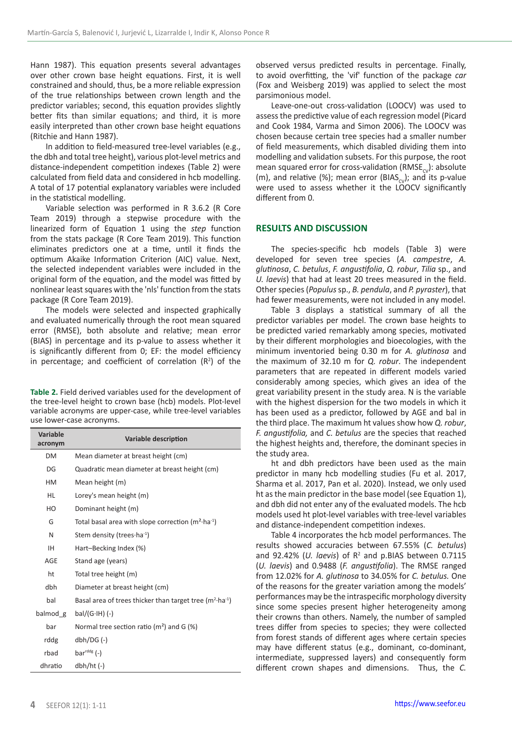Hann 1987). This equation presents several advantages over other crown base height equations. First, it is well constrained and should, thus, be a more reliable expression of the true relationships between crown length and the predictor variables; second, this equation provides slightly better fits than similar equations; and third, it is more easily interpreted than other crown base height equations (Ritchie and Hann 1987).

In addition to field-measured tree-level variables (e.g., the dbh and total tree height), various plot-level metrics and distance-independent competition indexes (Table 2) were calculated from field data and considered in hcb modelling. A total of 17 potential explanatory variables were included in the statistical modelling.

Variable selection was performed in R 3.6.2 (R Core Team 2019) through a stepwise procedure with the linearized form of Equation 1 using the *step* function from the stats package (R Core Team 2019). This function eliminates predictors one at a time, until it finds the optimum Akaike Information Criterion (AIC) value. Next, the selected independent variables were included in the original form of the equation, and the model was fitted by nonlinear least squares with the 'nls' function from the stats package (R Core Team 2019).

The models were selected and inspected graphically and evaluated numerically through the root mean squared error (RMSE), both absolute and relative; mean error (BIAS) in percentage and its p-value to assess whether it is significantly different from 0; EF: the model efficiency in percentage; and coefficient of correlation  $(R^2)$  of the

**Table 2.** Field derived variables used for the development of the tree-level height to crown base (hcb) models. Plot-level variable acronyms are upper-case, while tree-level variables use lower-case acronyms.

| Variable<br>acronym | Variable description                                               |  |  |  |  |
|---------------------|--------------------------------------------------------------------|--|--|--|--|
| <b>DM</b>           | Mean diameter at breast height (cm)                                |  |  |  |  |
| DG                  | Quadratic mean diameter at breast height (cm)                      |  |  |  |  |
| <b>HM</b>           | Mean height (m)                                                    |  |  |  |  |
| HL                  | Lorey's mean height (m)                                            |  |  |  |  |
| HO                  | Dominant height (m)                                                |  |  |  |  |
| G                   | Total basal area with slope correction $(m^2 \cdot ha^{-1})$       |  |  |  |  |
| N                   | Stem density (trees·ha-1)                                          |  |  |  |  |
| IH.                 | Hart-Becking Index (%)                                             |  |  |  |  |
| AGE                 | Stand age (years)                                                  |  |  |  |  |
| ht                  | Total tree height (m)                                              |  |  |  |  |
| dbh                 | Diameter at breast height (cm)                                     |  |  |  |  |
| bal                 | Basal area of trees thicker than target tree $(m^2 \cdot ha^{-1})$ |  |  |  |  |
| balmod g            | $bal/(G·IH)$ (-)                                                   |  |  |  |  |
| bar                 | Normal tree section ratio ( $m2$ ) and G (%)                       |  |  |  |  |
| rddg                | $dbh/DG$ $(-)$                                                     |  |  |  |  |
| rbad                | $bards$ (-)                                                        |  |  |  |  |
| dhratio             | $dbh/ht$ (-)                                                       |  |  |  |  |

observed versus predicted results in percentage. Finally, to avoid overfitting, the 'vif' function of the package *car*  (Fox and Weisberg 2019) was applied to select the most parsimonious model.

Leave-one-out cross-validation (LOOCV) was used to assess the predictive value of each regression model (Picard and Cook 1984, Varma and Simon 2006). The LOOCV was chosen because certain tree species had a smaller number of field measurements, which disabled dividing them into modelling and validation subsets. For this purpose, the root mean squared error for cross-validation (RMSE<sub>cv</sub>): absolute (m), and relative (%); mean error (BIAS<sub>cv</sub>); and its p-value were used to assess whether it the LOOCV significantly different from 0.

# **RESULTS AND DISCUSSION**

The species-specific hcb models (Table 3) were developed for seven tree species (*A. campestre*, *A. glutinosa*, *C. betulus*, *F. angustifolia*, *Q. robur*, *Tilia* sp., and *U. laevis*) that had at least 20 trees measured in the field. Other species (*Populus* sp., *B. pendula*, and *P. pyraster*), that had fewer measurements, were not included in any model.

Table 3 displays a statistical summary of all the predictor variables per model. The crown base heights to be predicted varied remarkably among species, motivated by their different morphologies and bioecologies, with the minimum inventoried being 0.30 m for *A. glutinosa* and the maximum of 32.10 m for *Q. robur*. The independent parameters that are repeated in different models varied considerably among species, which gives an idea of the great variability present in the study area. N is the variable with the highest dispersion for the two models in which it has been used as a predictor, followed by AGE and bal in the third place. The maximum ht values show how *Q. robur*, *F. angustifolia,* and *C. betulus* are the species that reached the highest heights and, therefore, the dominant species in the study area.

ht and dbh predictors have been used as the main predictor in many hcb modelling studies (Fu et al. 2017, Sharma et al. 2017, Pan et al. 2020). Instead, we only used ht as the main predictor in the base model (see Equation 1), and dbh did not enter any of the evaluated models. The hcb models used ht plot-level variables with tree-level variables and distance-independent competition indexes.

Table 4 incorporates the hcb model performances. The results showed accuracies between 67.55% (*C. betulus*) and 92.42% (*U. laevis*) of  $R^2$  and p.BIAS between 0.7115 (*U. laevis*) and 0.9488 (*F. angustifolia*). The RMSE ranged from 12.02% for *A. glutinosa* to 34.05% for *C. betulus.* One of the reasons for the greater variation among the models' performances may be the intraspecific morphology diversity since some species present higher heterogeneity among their crowns than others. Namely, the number of sampled trees differ from species to species; they were collected from forest stands of different ages where certain species may have different status (e.g., dominant, co-dominant, intermediate, suppressed layers) and consequently form different crown shapes and dimensions. Thus, the *C.*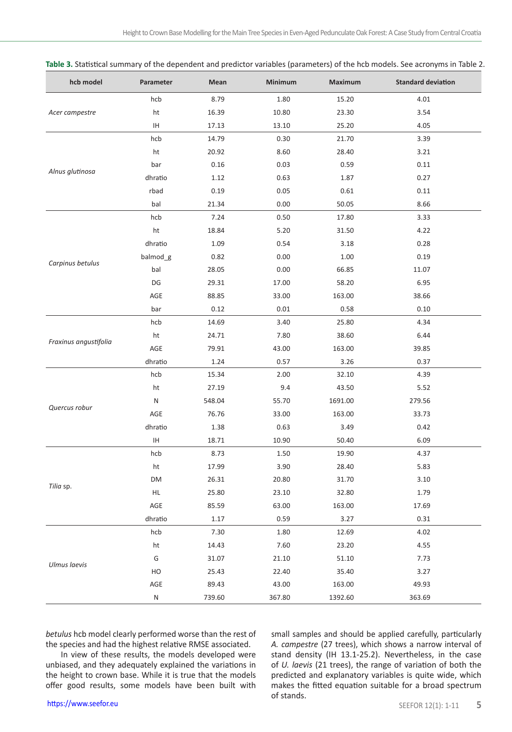| hcb model             | Parameter | Mean   | Minimum | Maximum | <b>Standard deviation</b> |
|-----------------------|-----------|--------|---------|---------|---------------------------|
|                       | hcb       | 8.79   | 1.80    | 15.20   | 4.01                      |
| Acer campestre        | ht        | 16.39  | 10.80   | 23.30   | 3.54                      |
|                       | ΙH        | 17.13  | 13.10   | 25.20   | 4.05                      |
|                       | hcb       | 14.79  | 0.30    | 21.70   | 3.39                      |
|                       | ht        | 20.92  | 8.60    | 28.40   | 3.21                      |
|                       | bar       | 0.16   | 0.03    | 0.59    | 0.11                      |
| Alnus glutinosa       | dhratio   | 1.12   | 0.63    | 1.87    | 0.27                      |
|                       | rbad      | 0.19   | 0.05    | 0.61    | 0.11                      |
|                       | bal       | 21.34  | 0.00    | 50.05   | 8.66                      |
|                       | hcb       | 7.24   | 0.50    | 17.80   | 3.33                      |
|                       | ht        | 18.84  | 5.20    | 31.50   | 4.22                      |
|                       | dhratio   | 1.09   | 0.54    | 3.18    | 0.28                      |
|                       | balmod_g  | 0.82   | 0.00    | 1.00    | 0.19                      |
| Carpinus betulus      | bal       | 28.05  | 0.00    | 66.85   | 11.07                     |
|                       | DG        | 29.31  | 17.00   | 58.20   | 6.95                      |
|                       | AGE       | 88.85  | 33.00   | 163.00  | 38.66                     |
|                       | bar       | 0.12   | 0.01    | 0.58    | 0.10                      |
|                       | hcb       | 14.69  | 3.40    | 25.80   | 4.34                      |
|                       | ht        | 24.71  | 7.80    | 38.60   | 6.44                      |
| Fraxinus angustifolia | AGE       | 79.91  | 43.00   | 163.00  | 39.85                     |
|                       | dhratio   | 1.24   | 0.57    | 3.26    | 0.37                      |
|                       | hcb       | 15.34  | 2.00    | 32.10   | 4.39                      |
|                       | ht        | 27.19  | 9.4     | 43.50   | 5.52                      |
|                       | N         | 548.04 | 55.70   | 1691.00 | 279.56                    |
| Quercus robur         | AGE       | 76.76  | 33.00   | 163.00  | 33.73                     |
|                       | dhratio   | 1.38   | 0.63    | 3.49    | 0.42                      |
|                       | IH        | 18.71  | 10.90   | 50.40   | 6.09                      |
|                       | hcb       | 8.73   | 1.50    | 19.90   | 4.37                      |
|                       | ht        | 17.99  | 3.90    | 28.40   | 5.83                      |
|                       | DM        | 26.31  | 20.80   | 31.70   | 3.10                      |
| Tilia sp.             | HL        | 25.80  | 23.10   | 32.80   | 1.79                      |
|                       | AGE       | 85.59  | 63.00   | 163.00  | 17.69                     |
|                       | dhratio   | 1.17   | 0.59    | 3.27    | 0.31                      |
|                       | hcb       | 7.30   | 1.80    | 12.69   | 4.02                      |
| <b>Ulmus laevis</b>   | ht        | 14.43  | 7.60    | 23.20   | 4.55                      |
|                       | G         | 31.07  | 21.10   | 51.10   | 7.73                      |
|                       | HO        | 25.43  | 22.40   | 35.40   | 3.27                      |
|                       | AGE       | 89.43  | 43.00   | 163.00  | 49.93                     |
|                       | N         | 739.60 | 367.80  | 1392.60 | 363.69                    |

**Table 3.** Statistical summary of the dependent and predictor variables (parameters) of the hcb models. See acronyms in Table 2.

*betulus* hcb model clearly performed worse than the rest of the species and had the highest relative RMSE associated.

In view of these results, the models developed were unbiased, and they adequately explained the variations in the height to crown base. While it is true that the models offer good results, some models have been built with

small samples and should be applied carefully, particularly *A. campestre* (27 trees), which shows a narrow interval of stand density (IH 13.1-25.2). Nevertheless, in the case of *U. laevis* (21 trees), the range of variation of both the predicted and explanatory variables is quite wide, which makes the fitted equation suitable for a broad spectrum of stands.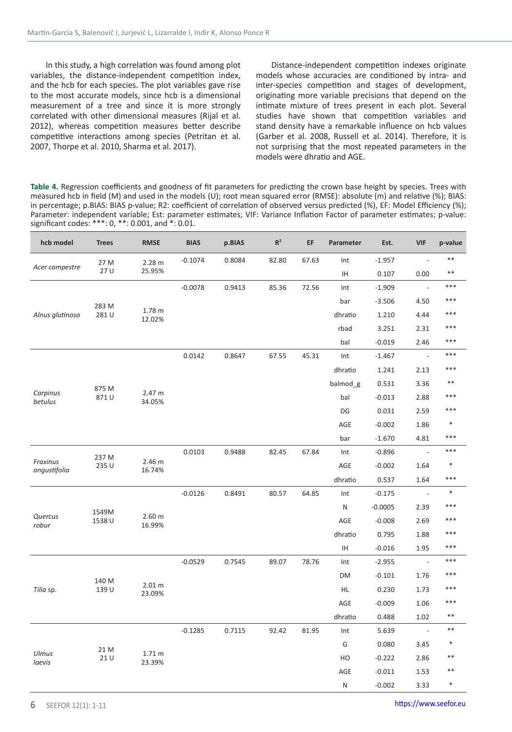In this study, a high correlation was found among plot variables, the distance-independent competition index, and the hcb for each species. The plot variables gave rise to the most accurate models, since hcb is a dimensional measurement of a tree and since it is more strongly correlated with other dimensional measures (Rijal et al. 2012), whereas competition measures better describe competitive interactions among species (Petritan et al. 2007, Thorpe et al. 2010, Sharma et al. 2017).

Distance-independent competition indexes originate models whose accuracies are conditioned by intra- and inter-species competition and stages of development, originating more variable precisions that depend on the intimate mixture of trees present in each plot. Several studies have shown that competition variables and stand density have a remarkable influence on hcb values (Garber et al. 2008, Russell et al. 2014). Therefore, it is not surprising that the most repeated parameters in the models were dhratio and AGE.

**Table 4.** Regression coefficients and goodness of fit parameters for predicting the crown base height by species. Trees with measured hcb in field (M) and used in the models (U); root mean squared error (RMSE): absolute (m) and relative (%); BIAS: in percentage; p.BIAS: BIAS p-value; R2: coefficient of correlation of observed versus predicted (%), EF: Model Efficiency (%); Parameter: independent variable; Est: parameter estimates; VIF: Variance Inflation Factor of parameter estimates; p-value: significant codes: \*\*\*: 0, \*\*: 0.001, and \*: 0.01.

| hcb model                   | <b>Trees</b> | <b>RMSE</b>                 | <b>BIAS</b> | p.BIAS | $\mathsf{R}^2$ | EF    | Parameter | Est.      | <b>VIF</b>               | p-value |
|-----------------------------|--------------|-----------------------------|-------------|--------|----------------|-------|-----------|-----------|--------------------------|---------|
|                             | 27 M         | 2.28 <sub>m</sub>           | $-0.1074$   | 0.8084 | 82.80          | 67.63 | Int       | $-1.957$  | $\overline{\phantom{a}}$ | $**$    |
| Acer campestre              | 27 U         | 25.95%                      |             |        |                |       | IH.       | 0.107     | 0.00                     | $***$   |
|                             |              |                             | $-0.0078$   | 0.9413 | 85.36          | 72.56 | Int       | $-1.909$  | $\overline{\phantom{a}}$ | ***     |
|                             | 283 M        |                             |             |        |                |       | bar       | $-3.506$  | 4.50                     | $***$   |
| Alnus glutinosa             | 281 U        | 1.78 m<br>12.02%            |             |        |                |       | dhratio   | 1.210     | 4.44                     | ***     |
|                             |              |                             |             |        |                |       | rbad      | 3.251     | 2.31                     | ***     |
|                             |              |                             |             |        |                |       | bal       | $-0.019$  | 2.46                     | ***     |
|                             |              |                             | 0.0142      | 0.8647 | 67.55          | 45.31 | Int       | $-1.467$  | $\sim$                   | $***$   |
|                             |              |                             |             |        |                |       | dhratio   | 1.241     | 2.13                     | $***$   |
|                             | 875 M        |                             |             |        |                |       | balmod_g  | 0.531     | 3.36                     | $***$   |
| Carpinus<br>betulus         | 871U         | 2.47 m<br>34.05%            |             |        |                |       | bal       | $-0.013$  | 2.88                     | $***$   |
|                             |              |                             |             |        |                |       | DG        | 0.031     | 2.59                     | $***$   |
|                             |              |                             |             |        |                |       | AGE       | $-0.002$  | 1.86                     | $\ast$  |
|                             |              |                             |             |        |                |       | bar       | $-1.670$  | 4.81                     | $***$   |
|                             | 237 M        |                             | 0.0103      | 0.9488 | 82.45          | 67.84 | Int       | $-0.896$  | $\overline{\phantom{a}}$ | ***     |
| Fraxinus<br>angustifolia    | 235 U        | 2.46 m<br>16.74%            |             |        |                |       | AGE       | $-0.002$  | 1.64                     | $\ast$  |
|                             |              |                             |             |        |                |       | dhratio   | 0.537     | 1.64                     | ***     |
|                             |              |                             | $-0.0126$   | 0.8491 | 80.57          | 64.85 | Int       | $-0.175$  | $\overline{\phantom{a}}$ | $\ast$  |
|                             | 1549M        |                             |             |        |                |       | N         | $-0.0005$ | 2.39                     | ***     |
| Quercus<br>robur            | 1538 U       | 2.60 <sub>m</sub><br>16.99% |             |        |                |       | AGE       | $-0.008$  | 2.69                     | ***     |
|                             |              |                             |             |        |                |       | dhratio   | 0.795     | 1.88                     | $***$   |
|                             |              |                             |             |        |                |       | IH.       | $-0.016$  | 1.95                     | $***$   |
|                             |              |                             | $-0.0529$   | 0.7545 | 89.07          | 78.76 | Int       | $-2.955$  | $\sim$                   | $***$   |
| 140 M<br>139 U<br>Tilia sp. |              |                             |             |        |                |       | DM        | $-0.101$  | 1.76                     | $***$   |
|                             |              | 2.01 m<br>23.09%            |             |        |                |       | HL        | 0.230     | 1.73                     | ***     |
|                             |              |                             |             |        |                |       | AGE       | $-0.009$  | 1.06                     | $***$   |
|                             |              |                             |             |        |                |       | dhratio   | 0.488     | 1.02                     | $***$   |
|                             |              |                             | $-0.1285$   | 0.7115 | 92.42          | 81.95 | Int       | 5.639     | $\overline{\phantom{a}}$ | $***$   |
|                             | 21 M         |                             |             |        |                |       | G         | 0.080     | 3.45                     | $\ast$  |
| Ulmus<br>laevis             | 21 U         | 1.71 <sub>m</sub><br>23.39% |             |        |                |       | HO        | $-0.222$  | 2.86                     | $***$   |
|                             |              |                             |             |        |                |       | AGE       | $-0.011$  | 1.53                     | $***$   |
|                             |              |                             |             |        |                |       | N         | $-0.002$  | 3.33                     | $\ast$  |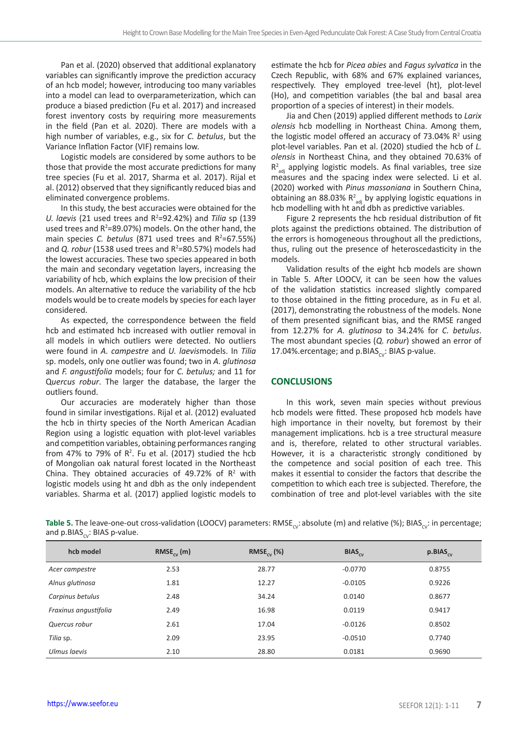Pan et al. (2020) observed that additional explanatory variables can significantly improve the prediction accuracy of an hcb model; however, introducing too many variables into a model can lead to overparameterization, which can produce a biased prediction (Fu et al. 2017) and increased forest inventory costs by requiring more measurements in the field (Pan et al. 2020). There are models with a high number of variables, e.g., six for *C. betulus*, but the Variance Inflation Factor (VIF) remains low.

Logistic models are considered by some authors to be those that provide the most accurate predictions for many tree species (Fu et al. 2017, Sharma et al. 2017). Rijal et al. (2012) observed that they significantly reduced bias and eliminated convergence problems.

In this study, the best accuracies were obtained for the *U. laevis* (21 used trees and R<sup>2</sup> =92.42%) and *Tilia* sp (139 used trees and  $R^2$ =89.07%) models. On the other hand, the main species *C. betulus* (871 used trees and R<sup>2</sup>=67.55%) and *Q. robur* (1538 used trees and R<sup>2</sup>=80.57%) models had the lowest accuracies. These two species appeared in both the main and secondary vegetation layers, increasing the variability of hcb, which explains the low precision of their models. An alternative to reduce the variability of the hcb models would be to create models by species for each layer considered.

As expected, the correspondence between the field hcb and estimated hcb increased with outlier removal in all models in which outliers were detected. No outliers were found in *A. campestre* and *U. laevis*models. In *Tilia* sp. models, only one outlier was found; two in *A. glutinosa* and *F. angustifolia* models; four for *C. betulus;* and 11 for Q*uercus robur*. The larger the database, the larger the outliers found.

Our accuracies are moderately higher than those found in similar investigations. Rijal et al. (2012) evaluated the hcb in thirty species of the North American Acadian Region using a logistic equation with plot-level variables and competition variables, obtaining performances ranging from 47% to 79% of  $R^2$ . Fu et al. (2017) studied the hcb of Mongolian oak natural forest located in the Northeast China. They obtained accuracies of 49.72% of  $R<sup>2</sup>$  with logistic models using ht and dbh as the only independent variables. Sharma et al. (2017) applied logistic models to

estimate the hcb for *Picea abies* and *Fagus sylvatica* in the Czech Republic, with 68% and 67% explained variances, respectively. They employed tree-level (ht), plot-level (Ho), and competition variables (the bal and basal area proportion of a species of interest) in their models.

Jia and Chen (2019) applied different methods to *Larix olensis* hcb modelling in Northeast China. Among them, the logistic model offered an accuracy of 73.04%  $R^2$  using plot-level variables. Pan et al. (2020) studied the hcb of *L. olensis* in Northeast China, and they obtained 70.63% of  $R^2_{\text{adj}}$  applying logistic models. As final variables, tree size measures and the spacing index were selected. Li et al. (2020) worked with *Pinus massoniana* in Southern China, obtaining an 88.03%  $R^2_{\text{adj}}$  by applying logistic equations in hcb modelling with ht and dbh as predictive variables.

Figure 2 represents the hcb residual distribution of fit plots against the predictions obtained. The distribution of the errors is homogeneous throughout all the predictions, thus, ruling out the presence of heteroscedasticity in the models.

Validation results of the eight hcb models are shown in Table 5. After LOOCV, it can be seen how the values of the validation statistics increased slightly compared to those obtained in the fitting procedure, as in Fu et al. (2017), demonstrating the robustness of the models. None of them presented significant bias, and the RMSE ranged from 12.27% for *A. glutinosa* to 34.24% for *C. betulus*. The most abundant species (*Q. robur*) showed an error of 17.04%.ercentage; and  $p.BIAS_{cv}$ : BIAS p-value.

#### **CONCLUSIONS**

In this work, seven main species without previous hcb models were fitted. These proposed hcb models have high importance in their novelty, but foremost by their management implications. hcb is a tree structural measure and is, therefore, related to other structural variables. However, it is a characteristic strongly conditioned by the competence and social position of each tree. This makes it essential to consider the factors that describe the competition to which each tree is subjected. Therefore, the combination of tree and plot-level variables with the site

Table 5. The leave-one-out cross-validation (LOOCV) parameters: RMSE<sub>ov</sub>: absolute (m) and relative (%); BIAS<sub>ov</sub>: in percentage; and p.BIAS<sub>cv</sub>: BIAS p-value.

| hcb model             | $RMSE_{\alpha\beta}(m)$ | RMSE <sub>cy</sub> $(\%)$ | $BIAS_{\alpha}$ | $p.BIAS_{cy}$ |
|-----------------------|-------------------------|---------------------------|-----------------|---------------|
| Acer campestre        | 2.53                    | 28.77                     | $-0.0770$       | 0.8755        |
| Alnus glutinosa       | 1.81                    | 12.27                     | $-0.0105$       | 0.9226        |
| Carpinus betulus      | 2.48                    | 34.24                     | 0.0140          | 0.8677        |
| Fraxinus angustifolia | 2.49                    | 16.98                     | 0.0119          | 0.9417        |
| Quercus robur         | 2.61                    | 17.04                     | $-0.0126$       | 0.8502        |
| Tilia sp.             | 2.09                    | 23.95                     | $-0.0510$       | 0.7740        |
| Ulmus laevis          | 2.10                    | 28.80                     | 0.0181          | 0.9690        |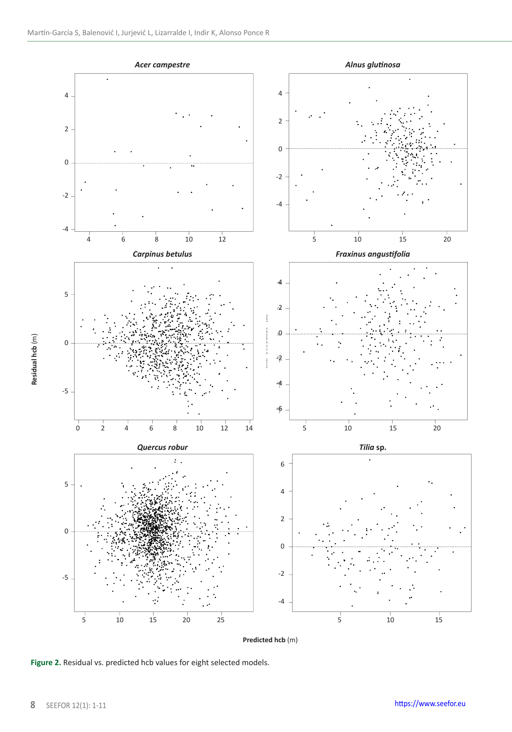

**Figure 2.** Residual vs. predicted hcb values for eight selected models.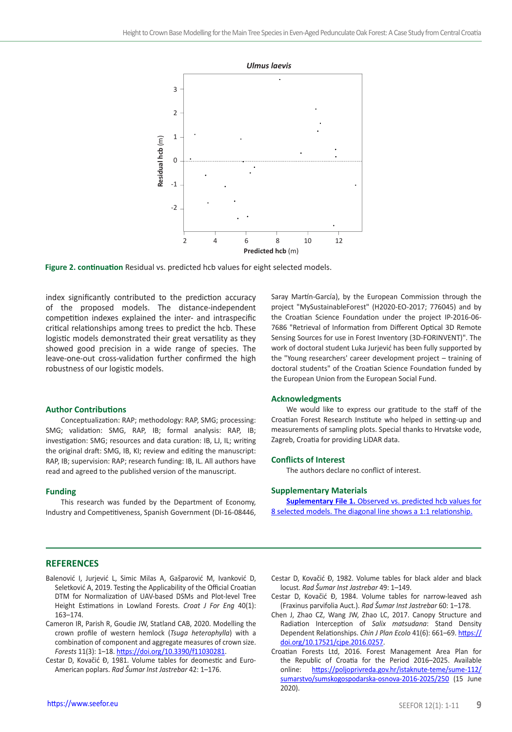

**Figure 2. continuation** Residual vs. predicted hcb values for eight selected models.

index significantly contributed to the prediction accuracy of the proposed models. The distance-independent competition indexes explained the inter- and intraspecific critical relationships among trees to predict the hcb. These logistic models demonstrated their great versatility as they showed good precision in a wide range of species. The leave-one-out cross-validation further confirmed the high robustness of our logistic models.

#### **Author Contributions**

Conceptualization: RAP; methodology: RAP, SMG; processing: SMG; validation: SMG, RAP, IB; formal analysis: RAP, IB; investigation: SMG; resources and data curation: IB, LJ, IL; writing the original draft: SMG, IB, KI; review and editing the manuscript: RAP, IB; supervision: RAP; research funding: IB, IL. All authors have read and agreed to the published version of the manuscript.

#### **Funding**

This research was funded by the Department of Economy, Industry and Competitiveness, Spanish Government (DI-16-08446, Saray Martín-García), by the European Commission through the project "MySustainableForest" (H2020-EO-2017; 776045) and by the Croatian Science Foundation under the project IP-2016-06- 7686 "Retrieval of Information from Different Optical 3D Remote Sensing Sources for use in Forest Inventory (3D-FORINVENT)". The work of doctoral student Luka Jurjević has been fully supported by the "Young researchers' career development project – training of doctoral students" of the Croatian Science Foundation funded by the European Union from the European Social Fund.

#### **Acknowledgments**

We would like to express our gratitude to the staff of the Croatian Forest Research Institute who helped in setting-up and measurements of sampling plots. Special thanks to Hrvatske vode, Zagreb, Croatia for providing LiDAR data.

#### **Conflicts of Interest**

The authors declare no conflict of interest.

#### **Supplementary Materials**

**Suplementary File 1.** Observed vs. predicted hcb values for [8 selected models. The diagonal line shows a 1:1 relationship.](https://seefor.eu/images/arhiva/supp_material/martin_garcia_et_al_supp_2021_1.pdf)

#### **REFERENCES**

- Balenović I, Jurjević L, Simic Milas A, Gašparović M, Ivanković D, Seletković A, 2019. Testing the Applicability of the Official Croatian DTM for Normalization of UAV-based DSMs and Plot-level Tree Height Estimations in Lowland Forests. *Croat J For Eng* 40(1): 163–174.
- Cameron IR, Parish R, Goudie JW, Statland CAB, 2020. Modelling the crown profile of western hemlock (*Tsuga heterophylla*) with a combination of component and aggregate measures of crown size. *Forests* 11(3): 1–18.<https://doi.org/10.3390/f11030281>.
- Cestar D, Kovačić Đ, 1981. Volume tables for deomestic and Euro-American poplars. *Rad Šumar Inst Jastrebar* 42: 1–176.
- Cestar D, Kovačić Đ, 1982. Volume tables for black alder and black locust. *Rad Šumar Inst Jastrebar* 49: 1–149.
- Cestar D, Kovačić Đ, 1984. Volume tables for narrow-leaved ash (Fraxinus parvifolia Auct.). *Rad Šumar Inst Jastrebar* 60: 1–178.
- Chen J, Zhao CZ, Wang JW, Zhao LC, 2017. Canopy Structure and Radiation Interception of *Salix matsudana*: Stand Density Dependent Relationships. *Chin J Plan Ecolo* 41(6): 661–69. [https://](https://doi.org/10.17521/cjpe.2016.0257) [doi.org/10.17521/cjpe.2016.0257](https://doi.org/10.17521/cjpe.2016.0257).
- Croatian Forests Ltd, 2016. Forest Management Area Plan for the Republic of Croatia for the Period 2016–2025. Available online: [https://poljoprivreda.gov.hr/istaknute-teme/sume-112/](https://poljoprivreda.gov.hr/istaknute-teme/sume-112/sumarstvo/sumskogospodarska-osnova-2016-2025/250) [sumarstvo/sumskogospodarska-osnova-2016-2025/250](https://poljoprivreda.gov.hr/istaknute-teme/sume-112/sumarstvo/sumskogospodarska-osnova-2016-2025/250) (15 June 2020).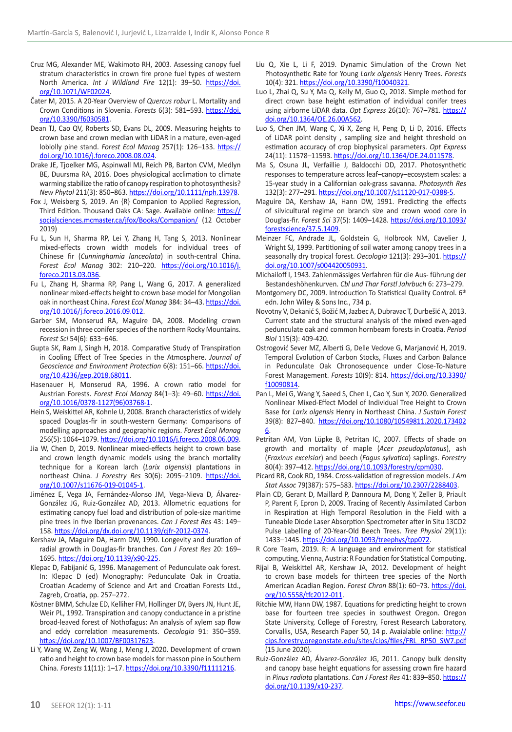- Cruz MG, Alexander ME, Wakimoto RH, 2003. Assessing canopy fuel stratum characteristics in crown fire prone fuel types of western North America. *Int J Wildland Fire* 12(1): 39–50. [https://doi.](https://doi.org/10.1071/WF02024) [org/10.1071/WF02024.](https://doi.org/10.1071/WF02024)
- Čater M, 2015. A 20-Year Overview of *Quercus robur* L. Mortality and Crown Conditions in Slovenia. *Forests* 6(3): 581–593. [https://doi.](https://doi.org/10.3390/f6030581) [org/10.3390/f6030581.](https://doi.org/10.3390/f6030581)
- Dean TJ, Cao QV, Roberts SD, Evans DL, 2009. Measuring heights to crown base and crown median with LiDAR in a mature, even-aged loblolly pine stand. *Forest Ecol Manag* 257(1): 126–133. [https://](https://doi.org/10.1016/j.foreco.2008.08.024) [doi.org/10.1016/j.foreco.2008.08.024.](https://doi.org/10.1016/j.foreco.2008.08.024)
- Drake JE, Tjoelker MG, Aspinwall MJ, Reich PB, Barton CVM, Medlyn BE, Duursma RA, 2016. Does physiological acclimation to climate warming stabilize the ratio of canopy respiration to photosynthesis? *New Phytol* 211(3): 850–863. [https://doi.org/10.1111/nph.13978.](https://doi.org/10.1111/nph.13978)
- Fox J, Weisberg S, 2019. An {R} Companion to Applied Regression, Third Edition. Thousand Oaks CA: Sage. Available online: [https://](https://socialsciences.mcmaster.ca/jfox/Books/Companion/) [socialsciences.mcmaster.ca/jfox/Books/Companion/](https://socialsciences.mcmaster.ca/jfox/Books/Companion/) (12 October 2019)
- Fu L, Sun H, Sharma RP, Lei Y, Zhang H, Tang S, 2013. Nonlinear mixed-effects crown width models for individual trees of Chinese fir (*Cunninghamia lanceolata*) in south-central China. *Forest Ecol Manag* 302: 210–220. [https://doi.org/10.1016/j.](https://doi.org/10.1016/j.foreco.2013.03.036) [foreco.2013.03.036.](https://doi.org/10.1016/j.foreco.2013.03.036)
- Fu L, Zhang H, Sharma RP, Pang L, Wang G, 2017. A generalized nonlinear mixed-effects height to crown base model for Mongolian oak in northeast China. *Forest Ecol Manag* 384: 34–43. [https://doi.](https://doi.org/10.1016/j.foreco.2016.09.012) [org/10.1016/j.foreco.2016.09.012](https://doi.org/10.1016/j.foreco.2016.09.012).
- Garber SM, Monserud RA, Maguire DA, 2008. Modeling crown recession in three conifer species of the northern Rocky Mountains. *Forest Sci* 54(6): 633–646.
- Gupta SK, Ram J, Singh H, 2018. Comparative Study of Transpiration in Cooling Effect of Tree Species in the Atmosphere. *Journal of Geoscience and Environment Protection* 6(8): 151–66. [https://doi.](https://doi.org/10.4236/gep.2018.68011) [org/10.4236/gep.2018.68011](https://doi.org/10.4236/gep.2018.68011).
- Hasenauer H, Monserud RA, 1996. A crown ratio model for Austrian Forests. *Forest Ecol Manag* 84(1–3): 49–60. [https://doi.](https://doi.org/10.1016/0378-1127(96)03768-1) [org/10.1016/0378-1127\(96\)03768-1.](https://doi.org/10.1016/0378-1127(96)03768-1)
- Hein S, Weiskittel AR, Kohnle U, 2008. Branch characteristics of widely spaced Douglas-fir in south-western Germany: Comparisons of modelling approaches and geographic regions. *Forest Ecol Manag* 256(5): 1064–1079.<https://doi.org/10.1016/j.foreco.2008.06.009>.
- Jia W, Chen D, 2019. Nonlinear mixed-effects height to crown base and crown length dynamic models using the branch mortality technique for a Korean larch (*Larix olgensis*) plantations in northeast China. *J Forestry Res* 30(6): 2095–2109. [https://doi.](https://doi.org/10.1007/s11676-019-01045-1) [org/10.1007/s11676-019-01045-1](https://doi.org/10.1007/s11676-019-01045-1).
- Jiménez E, Vega JA, Fernández-Alonso JM, Vega-Nieva D, Álvarez-González JG, Ruiz-González AD, 2013. Allometric equations for estimating canopy fuel load and distribution of pole-size maritime pine trees in five Iberian provenances. *Can J Forest Res* 43: 149– 158. [https://doi.org/dx.doi.org/10.1139/cjfr-2012-0374.](https://doi.org/dx.doi.org/10.1139/cjfr-2012-0374)
- Kershaw JA, Maguire DA, Harm DW, 1990. Longevity and duration of radial growth in Douglas-fir branches. *Can J Forest Res* 20: 169– 1695.<https://doi.org/10.1139/x90-225>.
- Klepac D, Fabijanić G, 1996. Management of Pedunculate oak forest. In: Klepac D (ed) Monography: Pedunculate Oak in Croatia. Croatian Academy of Science and Art and Croatian Forests Ltd., Zagreb, Croatia, pp. 257–272.
- Köstner BMM, Schulze ED, Kelliher FM, Hollinger DY, Byers JN, Hunt JE, Weir PL, 1992. Transpiration and canopy conductance in a pristine broad-leaved forest of Nothofagus: An analysis of xylem sap flow and eddy correlation measurements. *Oecologia* 91: 350–359. <https://doi.org/10.1007/BF00317623>.
- Li Y, Wang W, Zeng W, Wang J, Meng J, 2020. Development of crown ratio and height to crown base models for masson pine in Southern China. *Forests* 11(11): 1–17. [https://doi.org/10.3390/f11111216.](https://doi.org/10.3390/f11111216)
- Liu Q, Xie L, Li F, 2019. Dynamic Simulation of the Crown Net Photosynthetic Rate for Young *Larix olgensis* Henry Trees. *Forests* 10(4): 321. <https://doi.org/10.3390/f10040321>.
- Luo L, Zhai Q, Su Y, Ma Q, Kelly M, Guo Q, 2018. Simple method for direct crown base height estimation of individual conifer trees using airborne LiDAR data. *Opt Express* 26(10): 767–781. [https://](https://doi.org/10.1364/OE.26.00A562) [doi.org/10.1364/OE.26.00A562.](https://doi.org/10.1364/OE.26.00A562)
- Luo S, Chen JM, Wang C, Xi X, Zeng H, Peng D, Li D, 2016. Effects of LiDAR point density , sampling size and height threshold on estimation accuracy of crop biophysical parameters. *Opt Express* 24(11): 11578–11593. [https://doi.org/10.1364/OE.24.011578.](https://doi.org/10.1364/OE.24.011578)
- Ma S, Osuna JL, Verfaillie J, Baldocchi DD, 2017. Photosynthetic responses to temperature across leaf–canopy–ecosystem scales: a 15-year study in a Californian oak-grass savanna. *Photosynth Res* 132(3): 277–291. [https://doi.org/10.1007/s11120-017-0388-5.](https://doi.org/10.1007/s11120-017-0388-5)
- Maguire DA, Kershaw JA, Hann DW, 1991. Predicting the effects of silvicultural regime on branch size and crown wood core in Douglas-fir. *Forest Sci* 37(5): 1409–1428. [https://doi.org/10.1093/](https://doi.org/10.1093/forestscience/37.5.1409) [forestscience/37.5.1409.](https://doi.org/10.1093/forestscience/37.5.1409)
- Meinzer FC, Andrade JL, Goldstein G, Holbrook NM, Cavelier J, Wright SJ, 1999. Partitioning of soil water among canopy trees in a seasonally dry tropical forest. Oecologia 121(3): 293-301. [https://](https://doi.org/10.1007/s004420050931) [doi.org/10.1007/s004420050931](https://doi.org/10.1007/s004420050931).
- Michailoff I, 1943. Zahlenmässiges Verfahren für die Aus- führung der Bestandeshöhenkurven. *Cbl und Thar Forstl Jahrbuch* 6: 273–279.
- Montgomery DC, 2009. Introduction To Statistical Quality Control. 6th edn. John Wiley & Sons Inc., 734 p.
- Novotny V, Dekanić S, Božić M, Jazbec A, Dubravac T, Durbešić A, 2013. Current state and the structural analysis of the mixed even-aged pedunculate oak and common hornbeam forests in Croatia. *Period Biol* 115(3): 409-420.
- Ostrogović Sever MZ, Alberti G, Delle Vedove G, Marjanović H, 2019. Temporal Evolution of Carbon Stocks, Fluxes and Carbon Balance in Pedunculate Oak Chronosequence under Close-To-Nature Forest Management. *Forests* 10(9): 814. [https://doi.org/10.3390/](https://doi.org/10.3390/f10090814) [f10090814](https://doi.org/10.3390/f10090814).
- Pan L, Mei G, Wang Y, Saeed S, Chen L, Cao Y, Sun Y, 2020. Generalized Nonlinear Mixed-Effect Model of Individual Tree Height to Crown Base for *Larix olgensis* Henry in Northeast China. *J Sustain Forest* 39(8): 827–840. [https://doi.org/10.1080/10549811.2020.173402](https://doi.org/10.1080/10549811.2020.1734026) [6](https://doi.org/10.1080/10549811.2020.1734026).
- Petritan AM, Von Lüpke B, Petritan IC, 2007. Effects of shade on growth and mortality of maple (*Acer pseudoplatanus*), ash (*Fraxinus excelsior*) and beech (*Fagus sylvatica*) saplings. *Forestry* 80(4): 397–412. [https://doi.org/10.1093/forestry/cpm030.](https://doi.org/10.1093/forestry/cpm030)
- Picard RR, Cook RD, 1984. Cross-validation of regression models. *J Am Stat Assoc* 79(387): 575–583.<https://doi.org/10.2307/2288403>.
- Plain CD, Gerant D, Maillard P, Dannoura M, Dong Y, Zeller B, Priault P, Parent F, Epron D, 2009. Tracing of Recently Assimilated Carbon in Respiration at High Temporal Resolution in the Field with a Tuneable Diode Laser Absorption Spectrometer after in Situ 13CO2 Pulse Labelling of 20-Year-Old Beech Trees. *Tree Physiol* 29(11): 1433–1445. [https://doi.org/10.1093/treephys/tpp072.](https://doi.org/10.1093/treephys/tpp072)
- R Core Team, 2019. R: A language and environment for statistical computing. Vienna, Austria: R Foundation for Statistical Computing.
- Rijal B, Weiskittel AR, Kershaw JA, 2012. Development of height to crown base models for thirteen tree species of the North American Acadian Region. *Forest Chron* 88(1): 60–73. [https://doi.](https://doi.org/10.5558/tfc2012-011) [org/10.5558/tfc2012-011](https://doi.org/10.5558/tfc2012-011).
- Ritchie MW, Hann DW, 1987. Equations for predicting height to crown base for fourteen tree species in southwest Oregon. Oregon State University, College of Forestry, Forest Research Laboratory, Corvallis, USA, Research Paper 50, 14 p. Avaialable online: [http://](http://cips.forestry.oregonstate.edu/sites/cips/files/FRL_RP50_SW7.pdf) [cips.forestry.oregonstate.edu/sites/cips/files/FRL\\_RP50\\_SW7.pdf](http://cips.forestry.oregonstate.edu/sites/cips/files/FRL_RP50_SW7.pdf) (15 June 2020).
- Ruiz-González AD, Álvarez-González JG, 2011. Canopy bulk density and canopy base height equations for assessing crown fire hazard in *Pinus radiata* plantations. *Can J Forest Res* 41: 839–850. [https://](https://doi.org/10.1139/x10-237) [doi.org/10.1139/x10-237](https://doi.org/10.1139/x10-237).